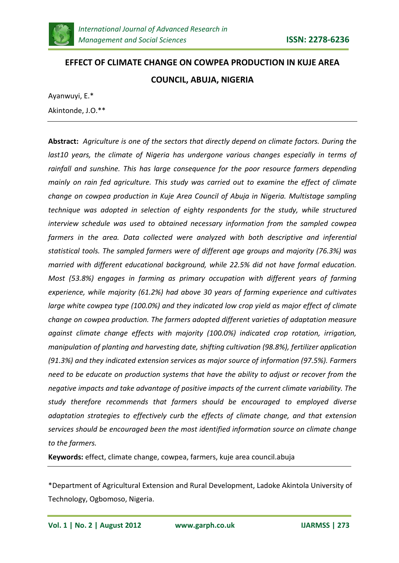

# **EFFECT OF CLIMATE CHANGE ON COWPEA PRODUCTION IN KUJE AREA COUNCIL, ABUJA, NIGERIA**

Ayanwuyi, E.\* Akintonde, J.O.\*\*

**Abstract:** *Agriculture is one of the sectors that directly depend on climate factors. During the last10 years, the climate of Nigeria has undergone various changes especially in terms of rainfall and sunshine. This has large consequence for the poor resource farmers depending mainly on rain fed agriculture. This study was carried out to examine the effect of climate change on cowpea production in Kuje Area Council of Abuja in Nigeria. Multistage sampling technique was adopted in selection of eighty respondents for the study, while structured interview schedule was used to obtained necessary information from the sampled cowpea farmers in the area. Data collected were analyzed with both descriptive and inferential statistical tools. The sampled farmers were of different age groups and majority (76.3%) was married with different educational background, while 22.5% did not have formal education. Most (53.8%) engages in farming as primary occupation with different years of farming experience, while majority (61.2%) had above 30 years of farming experience and cultivates large white cowpea type (100.0%) and they indicated low crop yield as major effect of climate change on cowpea production. The farmers adopted different varieties of adaptation measure against climate change effects with majority (100.0%) indicated crop rotation, irrigation, manipulation of planting and harvesting date, shifting cultivation (98.8%), fertilizer application (91.3%) and they indicated extension services as major source of information (97.5%). Farmers need to be educate on production systems that have the ability to adjust or recover from the negative impacts and take advantage of positive impacts of the current climate variability. The study therefore recommends that farmers should be encouraged to employed diverse adaptation strategies to effectively curb the effects of climate change, and that extension services should be encouraged been the most identified information source on climate change to the farmers.*

**Keywords:** effect, climate change, cowpea, farmers, kuje area council.abuja

\*Department of Agricultural Extension and Rural Development, Ladoke Akintola University of Technology, Ogbomoso, Nigeria.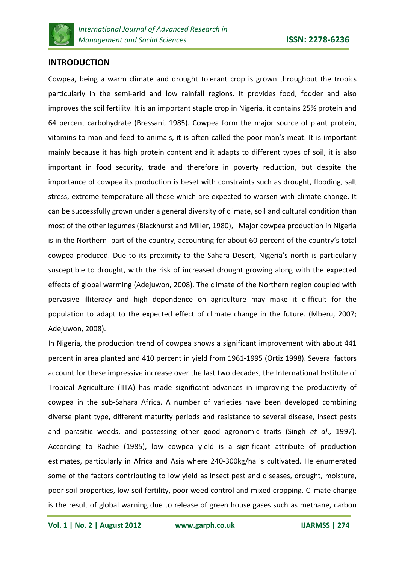

# **INTRODUCTION**

Cowpea, being a warm climate and drought tolerant crop is grown throughout the tropics particularly in the semi-arid and low rainfall regions. It provides food, fodder and also improves the soil fertility. It is an important staple crop in Nigeria, it contains 25% protein and 64 percent carbohydrate (Bressani, 1985). Cowpea form the major source of plant protein, vitamins to man and feed to animals, it is often called the poor man's meat. It is important mainly because it has high protein content and it adapts to different types of soil, it is also important in food security, trade and therefore in poverty reduction, but despite the importance of cowpea its production is beset with constraints such as drought, flooding, salt stress, extreme temperature all these which are expected to worsen with climate change. It can be successfully grown under a general diversity of climate, soil and cultural condition than most of the other legumes (Blackhurst and Miller, 1980), Major cowpea production in Nigeria is in the Northern part of the country, accounting for about 60 percent of the country's total cowpea produced. Due to its proximity to the Sahara Desert, Nigeria's north is particularly susceptible to drought, with the risk of increased drought growing along with the expected effects of global warming (Adejuwon, 2008). The climate of the Northern region coupled with pervasive illiteracy and high dependence on agriculture may make it difficult for the population to adapt to the expected effect of climate change in the future. (Mberu, 2007; Adejuwon, 2008).

In Nigeria, the production trend of cowpea shows a significant improvement with about 441 percent in area planted and 410 percent in yield from 1961-1995 (Ortiz 1998). Several factors account for these impressive increase over the last two decades, the International Institute of Tropical Agriculture (IITA) has made significant advances in improving the productivity of cowpea in the sub-Sahara Africa. A number of varieties have been developed combining diverse plant type, different maturity periods and resistance to several disease, insect pests and parasitic weeds, and possessing other good agronomic traits (Singh *et al*., 1997). According to Rachie (1985), low cowpea yield is a significant attribute of production estimates, particularly in Africa and Asia where 240-300kg/ha is cultivated. He enumerated some of the factors contributing to low yield as insect pest and diseases, drought, moisture, poor soil properties, low soil fertility, poor weed control and mixed cropping. Climate change is the result of global warning due to release of green house gases such as methane, carbon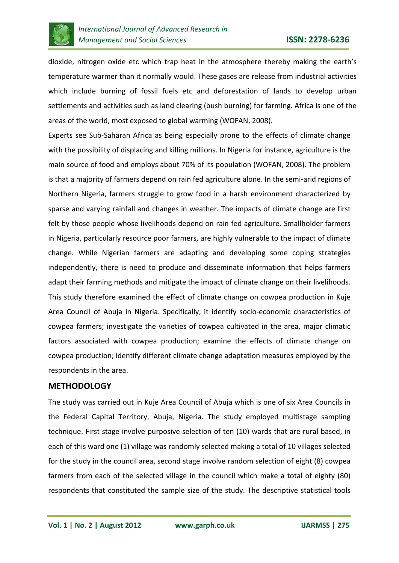

dioxide, nitrogen oxide etc which trap heat in the atmosphere thereby making the earth's temperature warmer than it normally would. These gases are release from industrial activities which include burning of fossil fuels etc and deforestation of lands to develop urban settlements and activities such as land clearing (bush burning) for farming. Africa is one of the areas of the world, most exposed to global warming (WOFAN, 2008).

Experts see Sub-Saharan Africa as being especially prone to the effects of climate change with the possibility of displacing and killing millions. In Nigeria for instance, agriculture is the main source of food and employs about 70% of its population (WOFAN, 2008). The problem is that a majority of farmers depend on rain fed agriculture alone. In the semi-arid regions of Northern Nigeria, farmers struggle to grow food in a harsh environment characterized by sparse and varying rainfall and changes in weather. The impacts of climate change are first felt by those people whose livelihoods depend on rain fed agriculture. Smallholder farmers in Nigeria, particularly resource poor farmers, are highly vulnerable to the impact of climate change. While Nigerian farmers are adapting and developing some coping strategies independently, there is need to produce and disseminate information that helps farmers adapt their farming methods and mitigate the impact of climate change on their livelihoods. This study therefore examined the effect of climate change on cowpea production in Kuje Area Council of Abuja in Nigeria. Specifically, it identify socio-economic characteristics of cowpea farmers; investigate the varieties of cowpea cultivated in the area, major climatic factors associated with cowpea production; examine the effects of climate change on cowpea production; identify different climate change adaptation measures employed by the respondents in the area.

# **METHODOLOGY**

The study was carried out in Kuje Area Council of Abuja which is one of six Area Councils in the Federal Capital Territory, Abuja, Nigeria. The study employed multistage sampling technique. First stage involve purposive selection of ten (10) wards that are rural based, in each of this ward one (1) village was randomly selected making a total of 10 villages selected for the study in the council area, second stage involve random selection of eight (8) cowpea farmers from each of the selected village in the council which make a total of eighty (80) respondents that constituted the sample size of the study. The descriptive statistical tools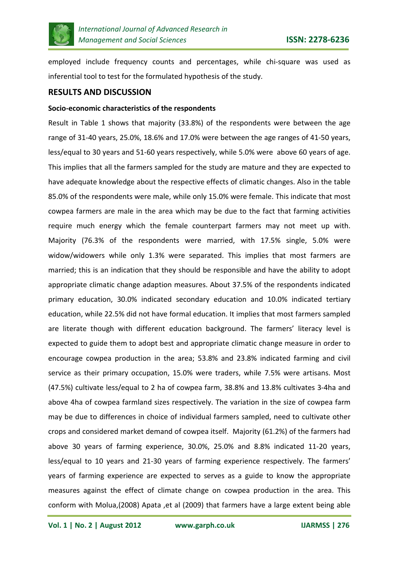

employed include frequency counts and percentages, while chi-square was used as inferential tool to test for the formulated hypothesis of the study.

#### **RESULTS AND DISCUSSION**

#### **Socio-economic characteristics of the respondents**

Result in Table 1 shows that majority (33.8%) of the respondents were between the age range of 31-40 years, 25.0%, 18.6% and 17.0% were between the age ranges of 41-50 years, less/equal to 30 years and 51-60 years respectively, while 5.0% were above 60 years of age. This implies that all the farmers sampled for the study are mature and they are expected to have adequate knowledge about the respective effects of climatic changes. Also in the table 85.0% of the respondents were male, while only 15.0% were female. This indicate that most cowpea farmers are male in the area which may be due to the fact that farming activities require much energy which the female counterpart farmers may not meet up with. Majority (76.3% of the respondents were married, with 17.5% single, 5.0% were widow/widowers while only 1.3% were separated. This implies that most farmers are married; this is an indication that they should be responsible and have the ability to adopt appropriate climatic change adaption measures. About 37.5% of the respondents indicated primary education, 30.0% indicated secondary education and 10.0% indicated tertiary education, while 22.5% did not have formal education. It implies that most farmers sampled are literate though with different education background. The farmers' literacy level is expected to guide them to adopt best and appropriate climatic change measure in order to encourage cowpea production in the area; 53.8% and 23.8% indicated farming and civil service as their primary occupation, 15.0% were traders, while 7.5% were artisans. Most (47.5%) cultivate less/equal to 2 ha of cowpea farm, 38.8% and 13.8% cultivates 3-4ha and above 4ha of cowpea farmland sizes respectively. The variation in the size of cowpea farm may be due to differences in choice of individual farmers sampled, need to cultivate other crops and considered market demand of cowpea itself. Majority (61.2%) of the farmers had above 30 years of farming experience, 30.0%, 25.0% and 8.8% indicated 11-20 years, less/equal to 10 years and 21-30 years of farming experience respectively. The farmers' years of farming experience are expected to serves as a guide to know the appropriate measures against the effect of climate change on cowpea production in the area. This conform with Molua,(2008) Apata ,et al (2009) that farmers have a large extent being able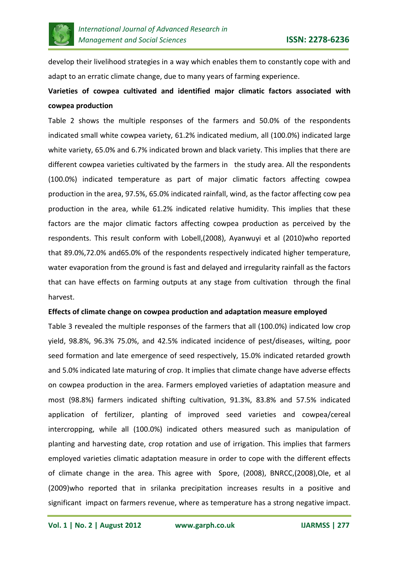

develop their livelihood strategies in a way which enables them to constantly cope with and adapt to an erratic climate change, due to many years of farming experience.

# **Varieties of cowpea cultivated and identified major climatic factors associated with cowpea production**

Table 2 shows the multiple responses of the farmers and 50.0% of the respondents indicated small white cowpea variety, 61.2% indicated medium, all (100.0%) indicated large white variety, 65.0% and 6.7% indicated brown and black variety. This implies that there are different cowpea varieties cultivated by the farmers in the study area. All the respondents (100.0%) indicated temperature as part of major climatic factors affecting cowpea production in the area, 97.5%, 65.0% indicated rainfall, wind, as the factor affecting cow pea production in the area, while 61.2% indicated relative humidity. This implies that these factors are the major climatic factors affecting cowpea production as perceived by the respondents. This result conform with Lobell,(2008), Ayanwuyi et al (2010)who reported that 89.0%,72.0% and65.0% of the respondents respectively indicated higher temperature, water evaporation from the ground is fast and delayed and irregularity rainfall as the factors that can have effects on farming outputs at any stage from cultivation through the final harvest.

#### **Effects of climate change on cowpea production and adaptation measure employed**

Table 3 revealed the multiple responses of the farmers that all (100.0%) indicated low crop yield, 98.8%, 96.3% 75.0%, and 42.5% indicated incidence of pest/diseases, wilting, poor seed formation and late emergence of seed respectively, 15.0% indicated retarded growth and 5.0% indicated late maturing of crop. It implies that climate change have adverse effects on cowpea production in the area. Farmers employed varieties of adaptation measure and most (98.8%) farmers indicated shifting cultivation, 91.3%, 83.8% and 57.5% indicated application of fertilizer, planting of improved seed varieties and cowpea/cereal intercropping, while all (100.0%) indicated others measured such as manipulation of planting and harvesting date, crop rotation and use of irrigation. This implies that farmers employed varieties climatic adaptation measure in order to cope with the different effects of climate change in the area. This agree with Spore, (2008), BNRCC,(2008),Ole, et al (2009)who reported that in srilanka precipitation increases results in a positive and significant impact on farmers revenue, where as temperature has a strong negative impact.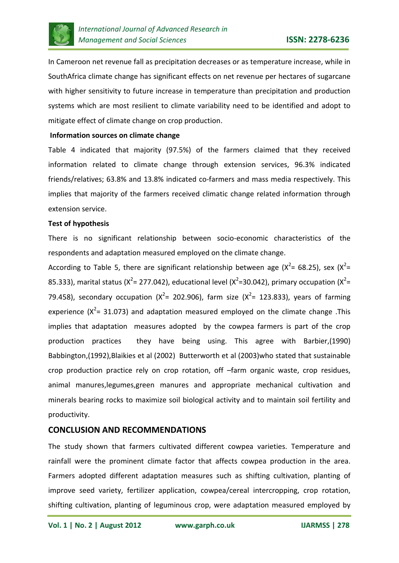

In Cameroon net revenue fall as precipitation decreases or as temperature increase, while in SouthAfrica climate change has significant effects on net revenue per hectares of sugarcane with higher sensitivity to future increase in temperature than precipitation and production systems which are most resilient to climate variability need to be identified and adopt to mitigate effect of climate change on crop production.

#### **Information sources on climate change**

Table 4 indicated that majority (97.5%) of the farmers claimed that they received information related to climate change through extension services, 96.3% indicated friends/relatives; 63.8% and 13.8% indicated co-farmers and mass media respectively. This implies that majority of the farmers received climatic change related information through extension service.

#### **Test of hypothesis**

There is no significant relationship between socio-economic characteristics of the respondents and adaptation measured employed on the climate change.

According to Table 5, there are significant relationship between age ( $X^2$ = 68.25), sex ( $X^2$ = 85.333), marital status (X<sup>2</sup>= 277.042), educational level (X<sup>2</sup>=30.042), primary occupation (X<sup>2</sup>= 79.458), secondary occupation ( $X^2$ = 202.906), farm size ( $X^2$ = 123.833), years of farming experience ( $X^2$ = 31.073) and adaptation measured employed on the climate change .This implies that adaptation measures adopted by the cowpea farmers is part of the crop production practices they have being using. This agree with Barbier,(1990) Babbington,(1992),Blaikies et al (2002) Butterworth et al (2003)who stated that sustainable crop production practice rely on crop rotation, off –farm organic waste, crop residues, animal manures,legumes,green manures and appropriate mechanical cultivation and minerals bearing rocks to maximize soil biological activity and to maintain soil fertility and productivity.

# **CONCLUSION AND RECOMMENDATIONS**

The study shown that farmers cultivated different cowpea varieties. Temperature and rainfall were the prominent climate factor that affects cowpea production in the area. Farmers adopted different adaptation measures such as shifting cultivation, planting of improve seed variety, fertilizer application, cowpea/cereal intercropping, crop rotation, shifting cultivation, planting of leguminous crop, were adaptation measured employed by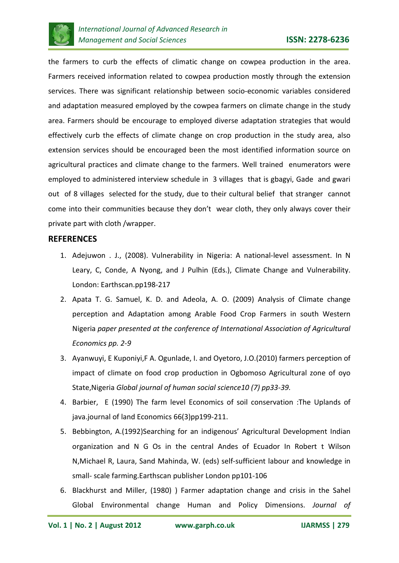

the farmers to curb the effects of climatic change on cowpea production in the area. Farmers received information related to cowpea production mostly through the extension services. There was significant relationship between socio-economic variables considered and adaptation measured employed by the cowpea farmers on climate change in the study area. Farmers should be encourage to employed diverse adaptation strategies that would effectively curb the effects of climate change on crop production in the study area, also extension services should be encouraged been the most identified information source on agricultural practices and climate change to the farmers. Well trained enumerators were employed to administered interview schedule in 3 villages that is gbagyi, Gade and gwari out of 8 villages selected for the study, due to their cultural belief that stranger cannot come into their communities because they don't wear cloth, they only always cover their private part with cloth /wrapper.

## **REFERENCES**

- 1. Adejuwon . J., (2008). Vulnerability in Nigeria: A national-level assessment. In N Leary, C, Conde, A Nyong, and J Pulhin (Eds.), Climate Change and Vulnerability. London: Earthscan.pp198-217
- 2. Apata T. G. Samuel, K. D. and Adeola, A. O. (2009) Analysis of Climate change perception and Adaptation among Arable Food Crop Farmers in south Western Nigeria *paper presented at the conference of International Association of Agricultural Economics pp. 2-9*
- 3. Ayanwuyi, E Kuponiyi,F A. Ogunlade, I. and Oyetoro, J.O.(2010) farmers perception of impact of climate on food crop production in Ogbomoso Agricultural zone of oyo State,Nigeria *Global journal of human social science10 (7) pp33-39.*
- 4. Barbier, E (1990) The farm level Economics of soil conservation :The Uplands of java.journal of land Economics 66(3)pp199-211.
- 5. Bebbington, A.(1992)Searching for an indigenous' Agricultural Development Indian organization and N G Os in the central Andes of Ecuador In Robert t Wilson N,Michael R, Laura, Sand Mahinda, W. (eds) self-sufficient labour and knowledge in small- scale farming.Earthscan publisher London pp101-106
- 6. Blackhurst and Miller, (1980) ) Farmer adaptation change and crisis in the Sahel Global Environmental change Human and Policy Dimensions. *Journal of*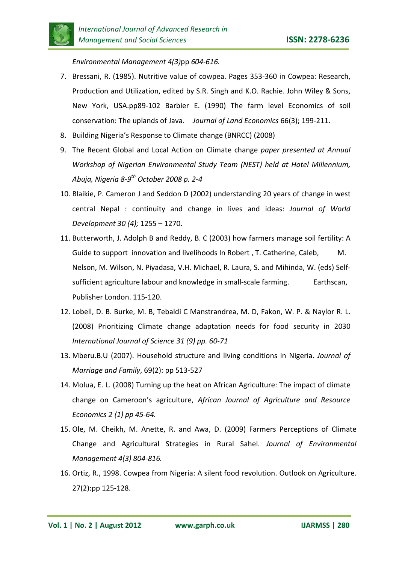*Environmental Management 4(3)*pp *604-616.* 

- 7. Bressani, R. (1985). Nutritive value of cowpea. Pages 353-360 in Cowpea: Research, Production and Utilization, edited by S.R. Singh and K.O. Rachie. John Wiley & Sons, New York, USA.pp89-102 Barbier E. (1990) The farm level Economics of soil conservation: The uplands of Java. *Journal of Land Economics* 66(3); 199-211.
- 8. Building Nigeria's Response to Climate change (BNRCC) (2008)
- 9. The Recent Global and Local Action on Climate change *paper presented at Annual Workshop of Nigerian Environmental Study Team (NEST) held at Hotel Millennium, Abuja, Nigeria 8-9th October 2008 p. 2-4*
- 10. Blaikie, P. Cameron J and Seddon D (2002) understanding 20 years of change in west central Nepal : continuity and change in lives and ideas: *Journal of World Development 30 (4);* 1255 – 1270.
- 11. Butterworth, J. Adolph B and Reddy, B. C (2003) how farmers manage soil fertility: A Guide to support innovation and livelihoods In Robert, T. Catherine, Caleb, M. Nelson, M. Wilson, N. Piyadasa, V.H. Michael, R. Laura, S. and Mihinda, W. (eds) Selfsufficient agriculture labour and knowledge in small-scale farming. Earthscan, Publisher London. 115-120.
- 12. Lobell, D. B. Burke, M. B, Tebaldi C Manstrandrea, M. D, Fakon, W. P. & Naylor R. L. (2008) Prioritizing Climate change adaptation needs for food security in 2030 *International Journal of Science 31 (9) pp. 60-71*
- 13. Mberu.B.U (2007). Household structure and living conditions in Nigeria. *Journal of Marriage and Family*, 69(2): pp 513-527
- 14. Molua, E. L. (2008) Turning up the heat on African Agriculture: The impact of climate change on Cameroon's agriculture, *African Journal of Agriculture and Resource Economics 2 (1) pp 45-64.*
- 15. Ole, M. Cheikh, M. Anette, R. and Awa, D. (2009) Farmers Perceptions of Climate Change and Agricultural Strategies in Rural Sahel. *Journal of Environmental Management 4(3) 804-816.*
- 16. Ortiz, R., 1998. Cowpea from Nigeria: A silent food revolution. Outlook on Agriculture. 27(2):pp 125-128.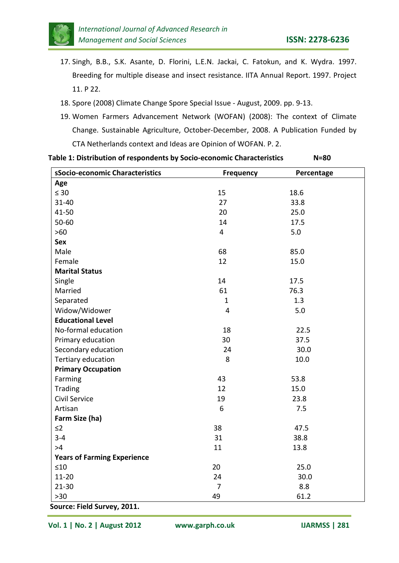

- 17. Singh, B.B., S.K. Asante, D. Florini, L.E.N. Jackai, C. Fatokun, and K. Wydra. 1997. Breeding for multiple disease and insect resistance. IITA Annual Report. 1997. Project 11. P 22.
- 18. Spore (2008) Climate Change Spore Special Issue August, 2009. pp. 9-13.
- 19. Women Farmers Advancement Network (WOFAN) (2008): The context of Climate Change. Sustainable Agriculture, October-December, 2008. A Publication Funded by CTA Netherlands context and Ideas are Opinion of WOFAN. P. 2.

| sSocio-economic Characteristics    | <b>Frequency</b> | Percentage |  |
|------------------------------------|------------------|------------|--|
| Age                                |                  |            |  |
| $\leq 30$                          | 15               | 18.6       |  |
| 31-40                              | 27               | 33.8       |  |
| 41-50                              | 20               | 25.0       |  |
| 50-60                              | 14               | 17.5       |  |
| $>60$                              | 4                | 5.0        |  |
| Sex                                |                  |            |  |
| Male                               | 68               | 85.0       |  |
| Female                             | 12               | 15.0       |  |
| <b>Marital Status</b>              |                  |            |  |
| Single                             | 14               | 17.5       |  |
| Married                            | 61               | 76.3       |  |
| Separated                          | $\mathbf{1}$     | 1.3        |  |
| Widow/Widower                      | $\overline{4}$   | 5.0        |  |
| <b>Educational Level</b>           |                  |            |  |
| No-formal education                | 18               | 22.5       |  |
| Primary education                  | 30               | 37.5       |  |
| Secondary education                | 24               | 30.0       |  |
| Tertiary education                 | 8                | 10.0       |  |
| <b>Primary Occupation</b>          |                  |            |  |
| Farming                            | 43               | 53.8       |  |
| Trading                            | 12               | 15.0       |  |
| Civil Service                      | 19               | 23.8       |  |
| Artisan                            | 6                | 7.5        |  |
| Farm Size (ha)                     |                  |            |  |
| $\leq$ 2                           | 38               | 47.5       |  |
| $3 - 4$                            | 31               | 38.8       |  |
| >4                                 | 11               | 13.8       |  |
| <b>Years of Farming Experience</b> |                  |            |  |
| $\leq 10$                          | 20               | 25.0       |  |
| $11 - 20$                          | 24               | 30.0       |  |
| $21 - 30$                          | $\overline{7}$   | 8.8        |  |
| $>30$                              | 49               | 61.2       |  |

**Source: Field Survey, 2011.**

**Vol. 1 | No. 2 | August 2012 www.garph.co.uk IJARMSS | 281**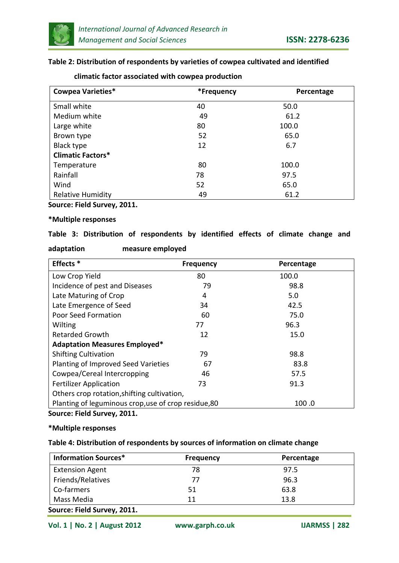

#### **Table 2: Distribution of respondents by varieties of cowpea cultivated and identified**

| <b>Cowpea Varieties*</b> | *Frequency | Percentage |  |  |
|--------------------------|------------|------------|--|--|
| Small white              | 40         | 50.0       |  |  |
| Medium white             | 49         | 61.2       |  |  |
| Large white              | 80         | 100.0      |  |  |
| Brown type               | 52         | 65.0       |  |  |
| Black type               | 12         | 6.7        |  |  |
| <b>Climatic Factors*</b> |            |            |  |  |
| Temperature              | 80         | 100.0      |  |  |
| Rainfall                 | 78         | 97.5       |  |  |
| Wind                     | 52         | 65.0       |  |  |
| <b>Relative Humidity</b> | 49         | 61.2       |  |  |

#### **climatic factor associated with cowpea production**

**Source: Field Survey, 2011.**

#### **\*Multiple responses**

## **Table 3: Distribution of respondents by identified effects of climate change and**

| adaptation | measure employed |  |
|------------|------------------|--|
|            |                  |  |

| Effects <sup>*</sup>                                          | <b>Frequency</b> | Percentage |  |  |
|---------------------------------------------------------------|------------------|------------|--|--|
| Low Crop Yield                                                | 80               | 100.0      |  |  |
| Incidence of pest and Diseases                                | 79               | 98.8       |  |  |
| Late Maturing of Crop                                         | 4                | 5.0        |  |  |
| Late Emergence of Seed                                        | 34               | 42.5       |  |  |
| Poor Seed Formation                                           | 60               | 75.0       |  |  |
| Wilting                                                       | 77               | 96.3       |  |  |
| <b>Retarded Growth</b>                                        | 12               | 15.0       |  |  |
| <b>Adaptation Measures Employed*</b>                          |                  |            |  |  |
| <b>Shifting Cultivation</b>                                   | 79               | 98.8       |  |  |
| Planting of Improved Seed Varieties                           | 67               | 83.8       |  |  |
| Cowpea/Cereal Intercropping                                   | 46               | 57.5       |  |  |
| <b>Fertilizer Application</b>                                 | 73               | 91.3       |  |  |
| Others crop rotation, shifting cultivation,                   |                  |            |  |  |
| Planting of leguminous crop, use of crop residue, 80<br>100.0 |                  |            |  |  |

**Source: Field Survey, 2011.**

#### **\*Multiple responses**

#### **Table 4: Distribution of respondents by sources of information on climate change**

| <b>Information Sources*</b> | <b>Frequency</b> | Percentage |  |  |
|-----------------------------|------------------|------------|--|--|
| <b>Extension Agent</b>      | 78               | 97.5       |  |  |
| Friends/Relatives           | 77               | 96.3       |  |  |
| Co-farmers                  | 51               | 63.8       |  |  |
| Mass Media                  | 11               | 13.8       |  |  |
| Source: Field Survey, 2011. |                  |            |  |  |

**Vol. 1 | No. 2 | August 2012 www.garph.co.uk IJARMSS | 282**